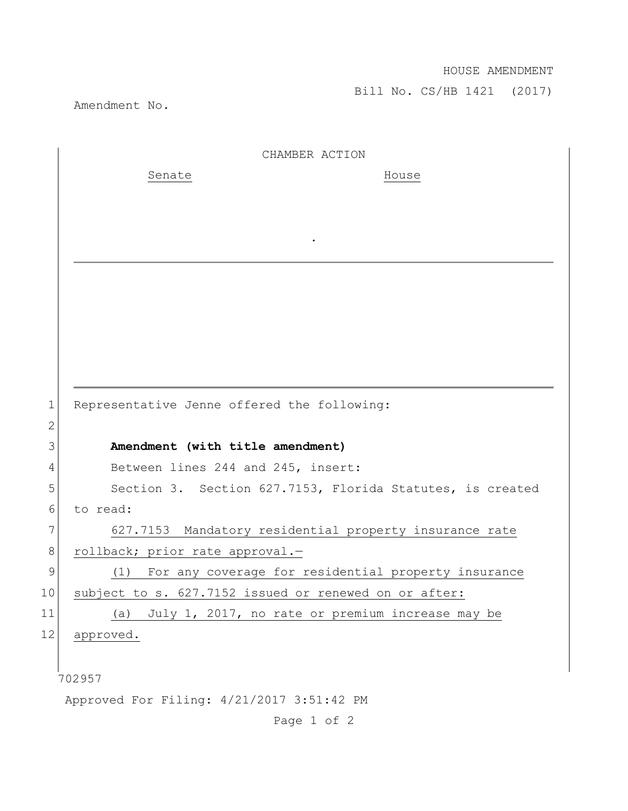## HOUSE AMENDMENT

Bill No. CS/HB 1421 (2017)

Amendment No.

|              | CHAMBER ACTION                                            |
|--------------|-----------------------------------------------------------|
|              | Senate<br>House                                           |
|              |                                                           |
|              |                                                           |
|              |                                                           |
|              |                                                           |
|              |                                                           |
|              |                                                           |
|              |                                                           |
|              |                                                           |
|              |                                                           |
| $\mathbf{1}$ | Representative Jenne offered the following:               |
| $\mathbf{2}$ |                                                           |
| 3            | Amendment (with title amendment)                          |
| 4            | Between lines 244 and 245, insert:                        |
| 5            | Section 3. Section 627.7153, Florida Statutes, is created |
| 6            | to read:                                                  |
| 7            | 627.7153 Mandatory residential property insurance rate    |
| 8            | rollback; prior rate approval.-                           |
| $\mathsf 9$  | (1) For any coverage for residential property insurance   |
| 10           | subject to s. 627.7152 issued or renewed on or after:     |
| 11           | July 1, 2017, no rate or premium increase may be<br>(a)   |
| 12           | approved.                                                 |
|              |                                                           |
|              | 702957                                                    |
|              | Approved For Filing: 4/21/2017 3:51:42 PM                 |

Page 1 of 2